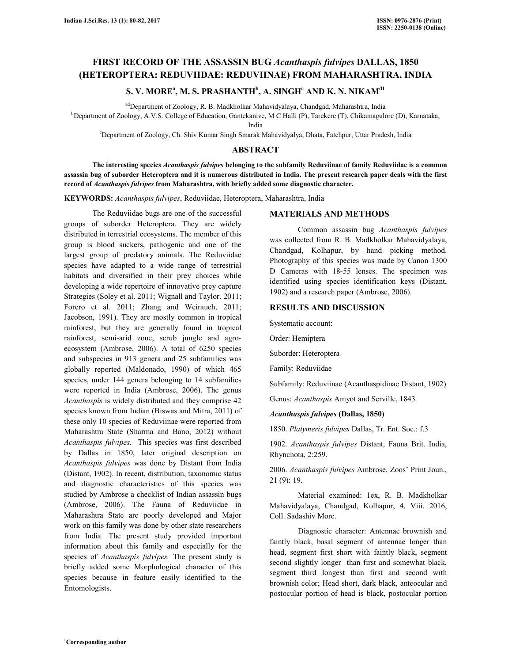# **FIRST RECORD OF THE ASSASSIN BUG** *Acanthaspis fulvipes* **DALLAS, 1850 (HETEROPTERA: REDUVIIDAE: REDUVIINAE) FROM MAHARASHTRA, INDIA**

# **S. V. MORE<sup>a</sup> , M. S. PRASHANTH<sup>b</sup> , A. SINGH<sup>c</sup> AND K. N. NIKAMd1**

adDepartment of Zoology, R. B. Madkholkar Mahavidyalaya, Chandgad, Maharashtra, India

<sup>b</sup>Department of Zoology, A.V.S. College of Education, Gantekanive, M C Halli (P), Tarekere (T), Chikamagulore (D), Karnataka,

India

<sup>c</sup>Department of Zoology, Ch. Shiv Kumar Singh Smarak Mahavidyalya, Dhata, Fatehpur, Uttar Pradesh, India

### **ABSTRACT**

 **The interesting species** *Acanthaspis fulvipes* **belonging to the subfamily Reduviinae of family Reduviidae is a common assassin bug of suborder Heteroptera and it is numerous distributed in India. The present research paper deals with the first record of** *Acanthaspis fulvipes* **from Maharashtra, with briefly added some diagnostic character.** 

**KEYWORDS:** *Acanthaspis fulvipes*, Reduviidae, Heteroptera, Maharashtra, India

 The Reduviidae bugs are one of the successful groups of suborder Heteroptera. They are widely distributed in terrestrial ecosystems. The member of this group is blood suckers, pathogenic and one of the largest group of predatory animals. The Reduviidae species have adapted to a wide range of terrestrial habitats and diversified in their prey choices while developing a wide repertoire of innovative prey capture Strategies (Soley et al. 2011; Wignall and Taylor. 2011; Forero et al. 2011; Zhang and Weirauch, 2011; Jacobson, 1991). They are mostly common in tropical rainforest, but they are generally found in tropical rainforest, semi-arid zone, scrub jungle and agroecosystem (Ambrose, 2006). A total of 6250 species and subspecies in 913 genera and 25 subfamilies was globally reported (Maldonado, 1990) of which 465 species, under 144 genera belonging to 14 subfamilies were reported in India (Ambrose, 2006). The genus *Acanthaspis* is widely distributed and they comprise 42 species known from Indian (Biswas and Mitra, 2011) of these only 10 species of Reduviinae were reported from Maharashtra State (Sharma and Bano, 2012) without *Acanthaspis fulvipes.* This species was first described by Dallas in 1850, later original description on *Acanthaspis fulvipes* was done by Distant from India (Distant, 1902). In recent, distribution, taxonomic status and diagnostic characteristics of this species was studied by Ambrose a checklist of Indian assassin bugs (Ambrose, 2006). The Fauna of Reduviidae in Maharashtra State are poorly developed and Major work on this family was done by other state researchers from India. The present study provided important information about this family and especially for the species of *Acanthaspis fulvipes.* The present study is briefly added some Morphological character of this species because in feature easily identified to the Entomologists.

#### **MATERIALS AND METHODS**

 Common assassin bug *Acanthaspis fulvipes* was collected from R. B. Madkholkar Mahavidyalaya, Chandgad, Kolhapur, by hand picking method. Photography of this species was made by Canon 1300 D Cameras with 18-55 lenses. The specimen was identified using species identification keys (Distant, 1902) and a research paper (Ambrose, 2006).

### **RESULTS AND DISCUSSION**

Systematic account:

Order: Hemiptera

Suborder: Heteroptera

Family: Reduviidae

Subfamily: Reduviinae (Acanthaspidinae Distant, 1902)

Genus: *Acanthaspis* Amyot and Serville, 1843

#### *Acanthaspis fulvipes* **(Dallas, 1850)**

1850. *Platymeris fulvipes* Dallas, Tr. Ent. Soc.: f.3

1902. *Acanthaspis fulvipes* Distant, Fauna Brit. India, Rhynchota, 2:259.

2006. *Acanthaspis fulvipes* Ambrose, Zoos' Print Joun., 21 (9): 19.

 Material examined: 1ex, R. B. Madkholkar Mahavidyalaya, Chandgad, Kolhapur, 4. Viii. 2016, Coll. Sadashiv More.

 Diagnostic character: Antennae brownish and faintly black, basal segment of antennae longer than head, segment first short with faintly black, segment second slightly longer than first and somewhat black, segment third longest than first and second with brownish color; Head short, dark black, anteocular and postocular portion of head is black, postocular portion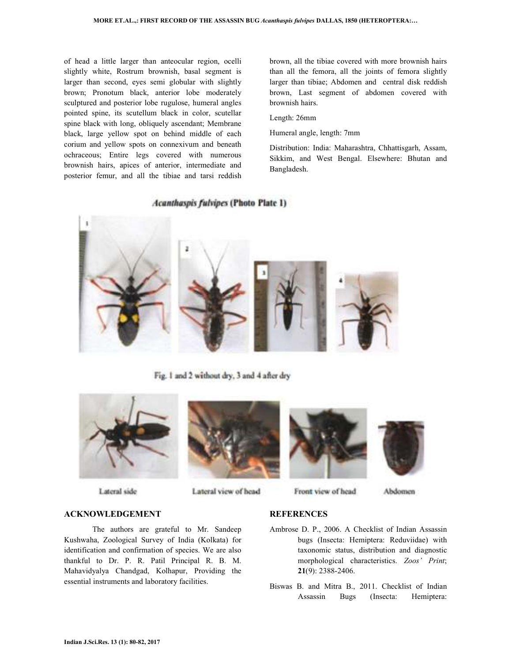of head a little larger than anteocular region, ocelli slightly white, Rostrum brownish, basal segment is larger than second, eyes semi globular with slightly brown; Pronotum black, anterior lobe moderately sculptured and posterior lobe rugulose, humeral angles pointed spine, its scutellum black in color, scutellar spine black with long, obliquely ascendant; Membrane black, large yellow spot on behind middle of each corium and yellow spots on connexivum and beneath ochraceous; Entire legs covered with numerous brownish hairs, apices of anterior, intermediate and posterior femur, and all the tibiae and tarsi reddish

brown, all the tibiae covered with more brownish hairs than all the femora, all the joints of femora slightly larger than tibiae; Abdomen and central disk reddish brown, Last segment of abdomen covered with brownish hairs.

Length: 26mm

Humeral angle, length: 7mm

Distribution: India: Maharashtra, Chhattisgarh, Assam, Sikkim, and West Bengal. Elsewhere: Bhutan and Bangladesh.

### **Acanthaspis fulvipes (Photo Plate 1)**



Fig. 1 and 2 without dry, 3 and 4 after dry



Lateral side



Lateral view of head





Front view of head

Abdomen

### **ACKNOWLEDGEMENT**

 The authors are grateful to Mr. Sandeep Kushwaha, Zoological Survey of India (Kolkata) for identification and confirmation of species. We are also thankful to Dr. P. R. Patil Principal R. B. M. Mahavidyalya Chandgad, Kolhapur, Providing the essential instruments and laboratory facilities.

# **REFERENCES**

- Ambrose D. P., 2006. A Checklist of Indian Assassin bugs (Insecta: Hemiptera: Reduviidae) with taxonomic status, distribution and diagnostic morphological characteristics. *Zoos' Print*; **21**(9): 2388-2406.
- Biswas B. and Mitra B., 2011. Checklist of Indian Assassin Bugs (Insecta: Hemiptera: